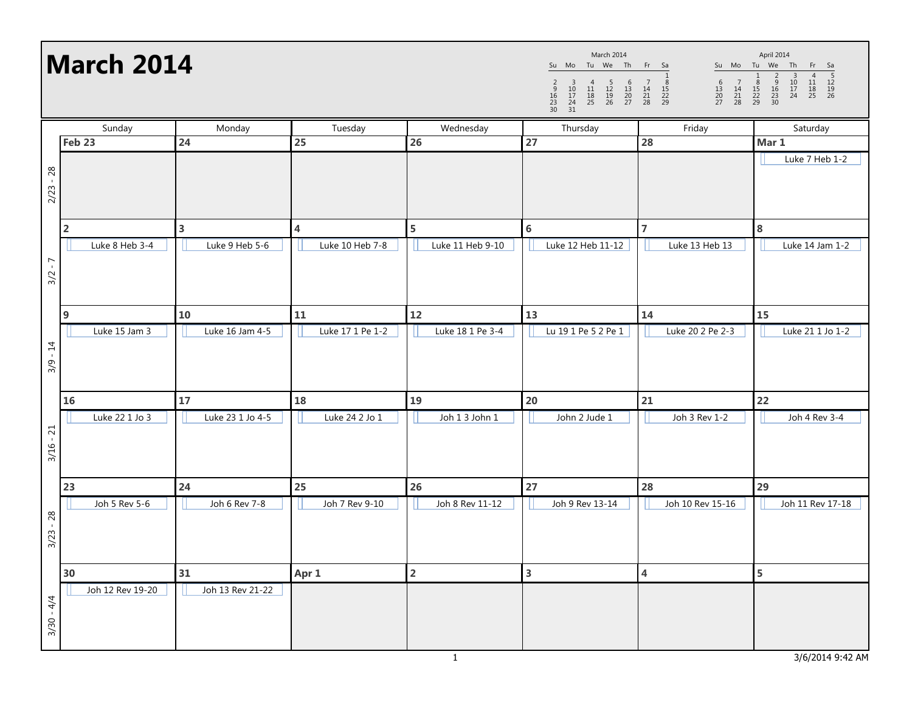## March 2014

Su Mo Tu We Th Fr Sa 1 <sup>2</sup> <sup>3</sup> <sup>4</sup> <sup>5</sup> <sup>6</sup> <sup>7</sup> <sup>8</sup> <sup>9</sup> <sup>10</sup> <sup>11</sup> <sup>12</sup> <sup>13</sup> <sup>14</sup> <sup>15</sup> <sup>16</sup> <sup>17</sup> <sup>18</sup> <sup>19</sup> <sup>20</sup> <sup>21</sup> <sup>22</sup> <sup>23</sup> <sup>24</sup> <sup>25</sup> <sup>26</sup> <sup>27</sup> <sup>28</sup> <sup>29</sup> <sup>30</sup> <sup>31</sup> March 2014

Su Mo Tu We Th Fr Sa <sup>1</sup> <sup>2</sup> <sup>3</sup> <sup>4</sup> <sup>5</sup> <sup>6</sup> <sup>7</sup> <sup>8</sup> <sup>9</sup> <sup>10</sup> <sup>11</sup> <sup>12</sup> <sup>13</sup> <sup>14</sup> <sup>15</sup> <sup>16</sup> <sup>17</sup> <sup>18</sup> <sup>19</sup> <sup>20</sup> <sup>21</sup> <sup>22</sup> <sup>23</sup> <sup>24</sup> <sup>25</sup> <sup>26</sup> <sup>27</sup> <sup>28</sup> <sup>29</sup> <sup>30</sup> April 2014

|              | Sunday           | Monday           | Tuesday                 | Wednesday        | Thursday                | Friday                  | Saturday         |
|--------------|------------------|------------------|-------------------------|------------------|-------------------------|-------------------------|------------------|
|              | Feb 23           | 24               | 25                      | 26               | 27                      | 28                      | Mar 1            |
| $2/23 - 28$  |                  |                  |                         |                  |                         |                         | Luke 7 Heb 1-2   |
|              | $\mathbf 2$      | 3                | $\overline{\mathbf{4}}$ | 5                | $\bf 6$                 | $\overline{7}$          | 8                |
| $3/2 - 7$    | Luke 8 Heb 3-4   | Luke 9 Heb 5-6   | Luke 10 Heb 7-8         | Luke 11 Heb 9-10 | Luke 12 Heb 11-12       | Luke 13 Heb 13          | Luke 14 Jam 1-2  |
|              | $\boldsymbol{9}$ | 10               | 11                      | 12               | 13                      | 14                      | 15               |
| $3/9 - 14$   | Luke 15 Jam 3    | Luke 16 Jam 4-5  | Luke 17 1 Pe 1-2        | Luke 18 1 Pe 3-4 | Lu 19 1 Pe 5 2 Pe 1     | Luke 20 2 Pe 2-3        | Luke 21 1 Jo 1-2 |
|              | 16               | 17               | 18                      | 19               | 20                      | 21                      | 22               |
| $3/16 - 21$  | Luke 22 1 Jo 3   | Luke 23 1 Jo 4-5 | Luke 24 2 Jo 1          | Joh 1 3 John 1   | John 2 Jude 1           | Joh 3 Rev 1-2           | Joh 4 Rev 3-4    |
|              | 23               | 24               | 25                      | 26               | 27                      | 28                      | 29               |
| $3/23 - 28$  | Joh 5 Rev 5-6    | Joh 6 Rev 7-8    | Joh 7 Rev 9-10          | Joh 8 Rev 11-12  | Joh 9 Rev 13-14         | Joh 10 Rev 15-16        | Joh 11 Rev 17-18 |
|              | 30               | 31               | Apr 1                   | $\mathbf 2$      | $\overline{\mathbf{3}}$ | $\overline{\mathbf{4}}$ | 5                |
| $3/30 - 4/4$ | Joh 12 Rev 19-20 | Joh 13 Rev 21-22 |                         |                  |                         |                         |                  |